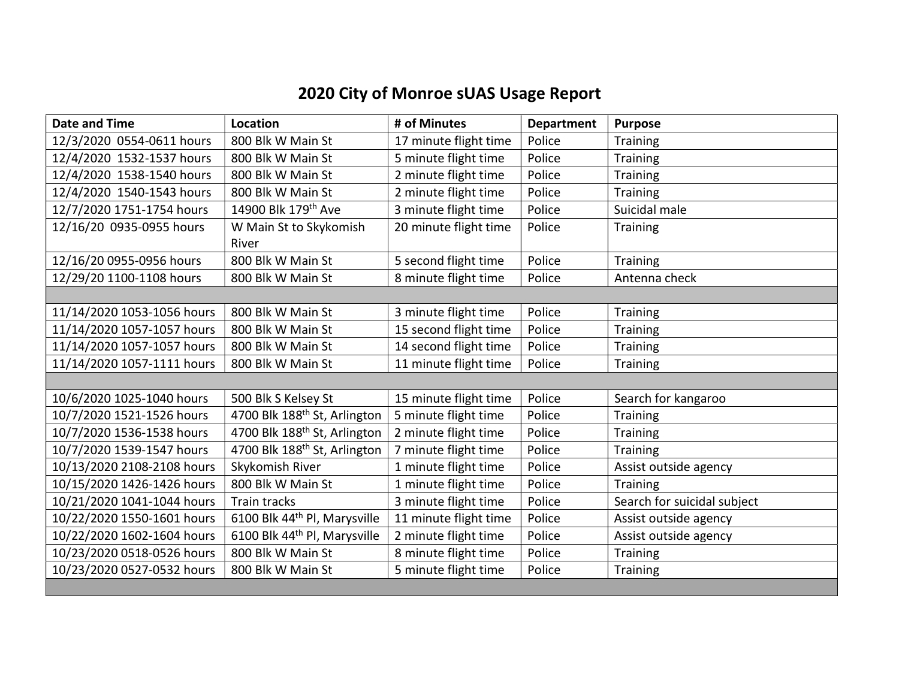## 2020 City of Monroe sUAS Usage Report

| <b>Date and Time</b>       | Location                                 | # of Minutes          | <b>Department</b> | <b>Purpose</b>              |
|----------------------------|------------------------------------------|-----------------------|-------------------|-----------------------------|
| 12/3/2020 0554-0611 hours  | 800 Blk W Main St                        | 17 minute flight time | Police            | <b>Training</b>             |
| 12/4/2020 1532-1537 hours  | 800 Blk W Main St                        | 5 minute flight time  | Police            | Training                    |
| 12/4/2020 1538-1540 hours  | 800 Blk W Main St                        | 2 minute flight time  | Police            | Training                    |
| 12/4/2020 1540-1543 hours  | 800 Blk W Main St                        | 2 minute flight time  | Police            | <b>Training</b>             |
| 12/7/2020 1751-1754 hours  | 14900 Blk 179th Ave                      | 3 minute flight time  | Police            | Suicidal male               |
| 12/16/20 0935-0955 hours   | W Main St to Skykomish                   | 20 minute flight time | Police            | <b>Training</b>             |
|                            | River                                    |                       |                   |                             |
| 12/16/20 0955-0956 hours   | 800 Blk W Main St                        | 5 second flight time  | Police            | Training                    |
| 12/29/20 1100-1108 hours   | 800 Blk W Main St                        | 8 minute flight time  | Police            | Antenna check               |
|                            |                                          |                       |                   |                             |
| 11/14/2020 1053-1056 hours | 800 Blk W Main St                        | 3 minute flight time  | Police            | <b>Training</b>             |
| 11/14/2020 1057-1057 hours | 800 Blk W Main St                        | 15 second flight time | Police            | Training                    |
| 11/14/2020 1057-1057 hours | 800 Blk W Main St                        | 14 second flight time | Police            | Training                    |
| 11/14/2020 1057-1111 hours | 800 Blk W Main St                        | 11 minute flight time | Police            | Training                    |
|                            |                                          |                       |                   |                             |
| 10/6/2020 1025-1040 hours  | 500 Blk S Kelsey St                      | 15 minute flight time | Police            | Search for kangaroo         |
| 10/7/2020 1521-1526 hours  | 4700 Blk 188 <sup>th</sup> St, Arlington | 5 minute flight time  | Police            | Training                    |
| 10/7/2020 1536-1538 hours  | 4700 Blk 188 <sup>th</sup> St, Arlington | 2 minute flight time  | Police            | <b>Training</b>             |
| 10/7/2020 1539-1547 hours  | 4700 Blk 188 <sup>th</sup> St, Arlington | 7 minute flight time  | Police            | <b>Training</b>             |
| 10/13/2020 2108-2108 hours | Skykomish River                          | 1 minute flight time  | Police            | Assist outside agency       |
| 10/15/2020 1426-1426 hours | 800 Blk W Main St                        | 1 minute flight time  | Police            | Training                    |
| 10/21/2020 1041-1044 hours | Train tracks                             | 3 minute flight time  | Police            | Search for suicidal subject |
| 10/22/2020 1550-1601 hours | 6100 Blk 44th Pl, Marysville             | 11 minute flight time | Police            | Assist outside agency       |
| 10/22/2020 1602-1604 hours | 6100 Blk 44 <sup>th</sup> Pl, Marysville | 2 minute flight time  | Police            | Assist outside agency       |
| 10/23/2020 0518-0526 hours | 800 Blk W Main St                        | 8 minute flight time  | Police            | <b>Training</b>             |
| 10/23/2020 0527-0532 hours | 800 Blk W Main St                        | 5 minute flight time  | Police            | Training                    |
|                            |                                          |                       |                   |                             |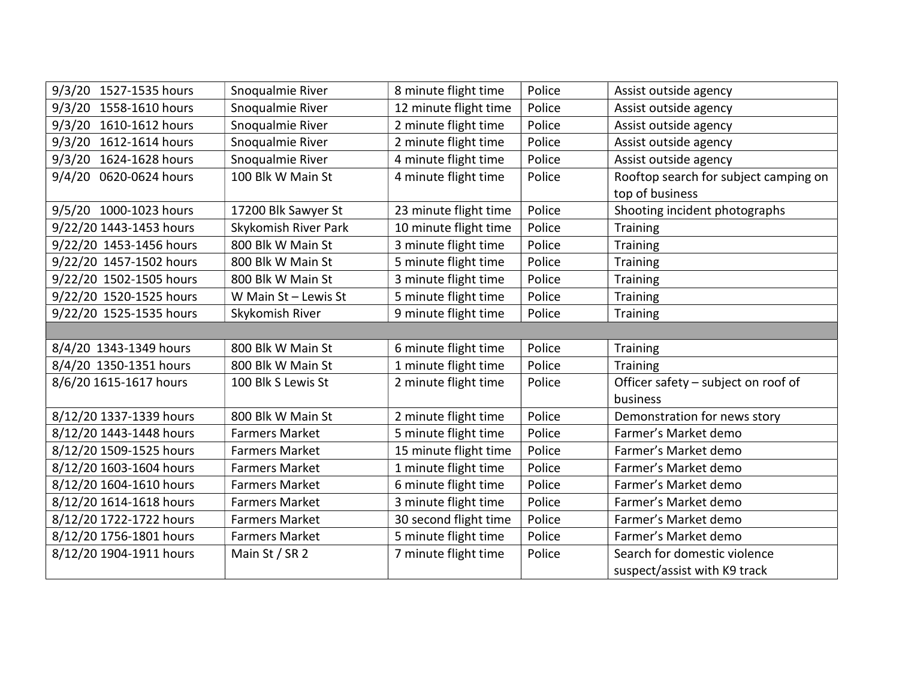| 1527-1535 hours<br>9/3/20 | Snoqualmie River       | 8 minute flight time  | Police | Assist outside agency                 |  |  |
|---------------------------|------------------------|-----------------------|--------|---------------------------------------|--|--|
| 9/3/20<br>1558-1610 hours | Snoqualmie River       | 12 minute flight time | Police | Assist outside agency                 |  |  |
| 1610-1612 hours<br>9/3/20 | Snoqualmie River       | 2 minute flight time  | Police | Assist outside agency                 |  |  |
| 9/3/20<br>1612-1614 hours | Snoqualmie River       | 2 minute flight time  | Police | Assist outside agency                 |  |  |
| 1624-1628 hours<br>9/3/20 | Snoqualmie River       | 4 minute flight time  | Police | Assist outside agency                 |  |  |
| 0620-0624 hours<br>9/4/20 | 100 Blk W Main St      | 4 minute flight time  | Police | Rooftop search for subject camping on |  |  |
|                           |                        |                       |        | top of business                       |  |  |
| 9/5/20 1000-1023 hours    | 17200 Blk Sawyer St    | 23 minute flight time | Police | Shooting incident photographs         |  |  |
| 9/22/20 1443-1453 hours   | Skykomish River Park   | 10 minute flight time | Police | <b>Training</b>                       |  |  |
| 9/22/20 1453-1456 hours   | 800 Blk W Main St      | 3 minute flight time  | Police | Training                              |  |  |
| 9/22/20 1457-1502 hours   | 800 Blk W Main St      | 5 minute flight time  | Police | <b>Training</b>                       |  |  |
| 9/22/20 1502-1505 hours   | 800 Blk W Main St      | 3 minute flight time  | Police | <b>Training</b>                       |  |  |
| 9/22/20 1520-1525 hours   | W Main $St$ – Lewis St | 5 minute flight time  | Police | <b>Training</b>                       |  |  |
| 9/22/20 1525-1535 hours   | Skykomish River        | 9 minute flight time  | Police | <b>Training</b>                       |  |  |
|                           |                        |                       |        |                                       |  |  |
| 8/4/20 1343-1349 hours    | 800 Blk W Main St      | 6 minute flight time  | Police | <b>Training</b>                       |  |  |
| 8/4/20 1350-1351 hours    | 800 Blk W Main St      | 1 minute flight time  | Police | <b>Training</b>                       |  |  |
| 8/6/20 1615-1617 hours    | 100 Blk S Lewis St     | 2 minute flight time  | Police | Officer safety - subject on roof of   |  |  |
|                           |                        |                       |        | business                              |  |  |
| 8/12/20 1337-1339 hours   | 800 Blk W Main St      | 2 minute flight time  | Police | Demonstration for news story          |  |  |
| 8/12/20 1443-1448 hours   | <b>Farmers Market</b>  | 5 minute flight time  | Police | Farmer's Market demo                  |  |  |
| 8/12/20 1509-1525 hours   | <b>Farmers Market</b>  | 15 minute flight time | Police | Farmer's Market demo                  |  |  |
| 8/12/20 1603-1604 hours   | <b>Farmers Market</b>  | 1 minute flight time  | Police | Farmer's Market demo                  |  |  |
| 8/12/20 1604-1610 hours   | <b>Farmers Market</b>  | 6 minute flight time  | Police | Farmer's Market demo                  |  |  |
| 8/12/20 1614-1618 hours   | <b>Farmers Market</b>  | 3 minute flight time  | Police | Farmer's Market demo                  |  |  |
| 8/12/20 1722-1722 hours   | <b>Farmers Market</b>  | 30 second flight time | Police | Farmer's Market demo                  |  |  |
| 8/12/20 1756-1801 hours   | <b>Farmers Market</b>  | 5 minute flight time  | Police | Farmer's Market demo                  |  |  |
| 8/12/20 1904-1911 hours   | Main St / SR 2         | 7 minute flight time  | Police | Search for domestic violence          |  |  |
|                           |                        |                       |        | suspect/assist with K9 track          |  |  |